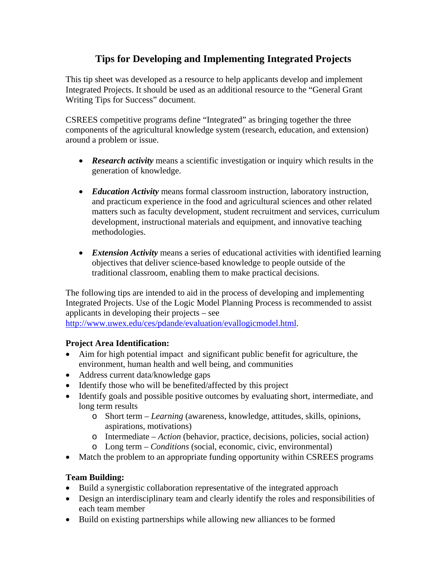# **Tips for Developing and Implementing Integrated Projects**

This tip sheet was developed as a resource to help applicants develop and implement Integrated Projects. It should be used as an additional resource to the "General Grant Writing Tips for Success" document.

CSREES competitive programs define "Integrated" as bringing together the three components of the agricultural knowledge system (research, education, and extension) around a problem or issue.

- *Research activity* means a scientific investigation or inquiry which results in the generation of knowledge.
- *Education Activity* means formal classroom instruction, laboratory instruction, and practicum experience in the food and agricultural sciences and other related matters such as faculty development, student recruitment and services, curriculum development, instructional materials and equipment, and innovative teaching methodologies.
- *Extension Activity* means a series of educational activities with identified learning objectives that deliver science-based knowledge to people outside of the traditional classroom, enabling them to make practical decisions.

The following tips are intended to aid in the process of developing and implementing Integrated Projects. Use of the Logic Model Planning Process is recommended to assist applicants in developing their projects – see <http://www.uwex.edu/ces/pdande/evaluation/evallogicmodel.html>.

#### **Project Area Identification:**

- Aim for high potential impact and significant public benefit for agriculture, the environment, human health and well being, and communities
- Address current data/knowledge gaps
- Identify those who will be benefited/affected by this project
- Identify goals and possible positive outcomes by evaluating short, intermediate, and long term results
	- o Short term *Learning* (awareness, knowledge, attitudes, skills, opinions, aspirations, motivations)
	- o Intermediate *Action* (behavior, practice, decisions, policies, social action)
	- o Long term *Conditions* (social, economic, civic, environmental)
- Match the problem to an appropriate funding opportunity within CSREES programs

## **Team Building:**

- Build a synergistic collaboration representative of the integrated approach
- Design an interdisciplinary team and clearly identify the roles and responsibilities of each team member
- Build on existing partnerships while allowing new alliances to be formed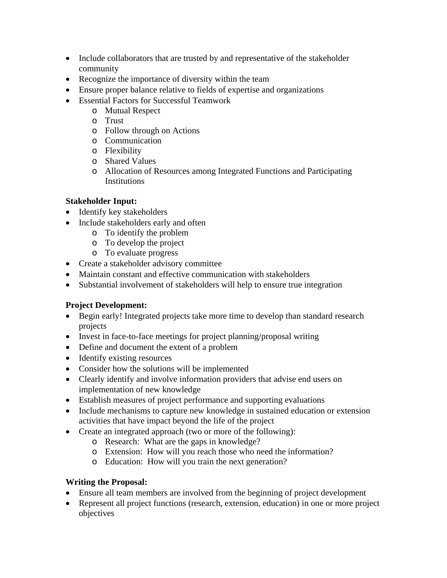- Include collaborators that are trusted by and representative of the stakeholder community
- Recognize the importance of diversity within the team
- Ensure proper balance relative to fields of expertise and organizations
- Essential Factors for Successful Teamwork
	- o Mutual Respect
	- o Trust
	- o Follow through on Actions
	- o Communication
	- o Flexibility
	- o Shared Values
	- o Allocation of Resources among Integrated Functions and Participating Institutions

## **Stakeholder Input:**

- Identify key stakeholders
- Include stakeholders early and often
	- o To identify the problem
	- o To develop the project
	- o To evaluate progress
- Create a stakeholder advisory committee
- Maintain constant and effective communication with stakeholders
- Substantial involvement of stakeholders will help to ensure true integration

## **Project Development:**

- Begin early! Integrated projects take more time to develop than standard research projects
- Invest in face-to-face meetings for project planning/proposal writing
- Define and document the extent of a problem
- Identify existing resources
- Consider how the solutions will be implemented
- Clearly identify and involve information providers that advise end users on implementation of new knowledge
- Establish measures of project performance and supporting evaluations
- Include mechanisms to capture new knowledge in sustained education or extension activities that have impact beyond the life of the project
- Create an integrated approach (two or more of the following):
	- o Research: What are the gaps in knowledge?
	- o Extension: How will you reach those who need the information?
	- o Education: How will you train the next generation?

#### **Writing the Proposal:**

- Ensure all team members are involved from the beginning of project development
- Represent all project functions (research, extension, education) in one or more project objectives